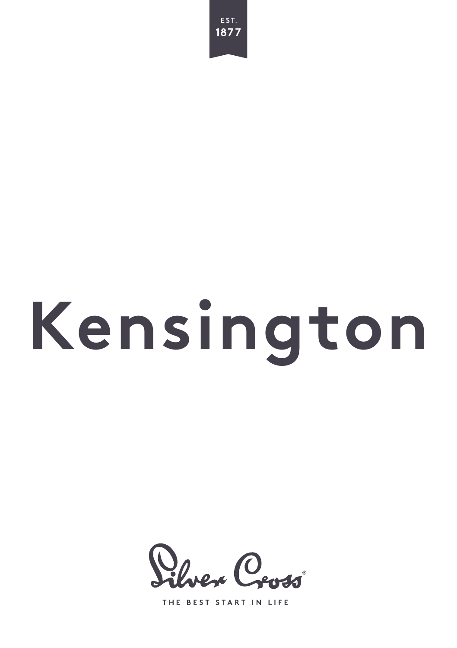

# **Kensington**



THE BEST START IN LIFE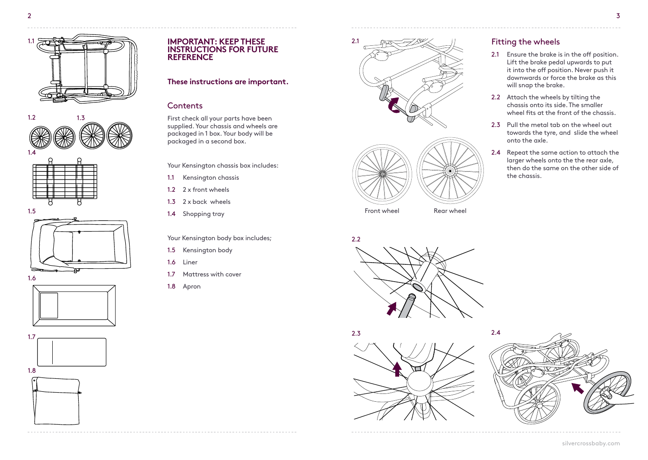













### **IMPORTANT: KEEP THESE INSTRUCTIONS FOR FUTURE REFERENCE**

# **These instructions are important.**

# **Contents**

First check all your parts have been supplied. Your chassis and wheels are packaged in 1 box. Your body will be packaged in a second box.

Your Kensington chassis box includes:

- 1.1 Kensington chassis
- 1.2 2 x front wheels
- 1.3 2 x back wheels
- 1.4 Shopping tray

Your Kensington body box includes;

- 1.5 Kensington body
- 1.6 Liner
- 1.7 Mattress with cover
- 1.8 Apron





Front wheel **Rear wheel** 







# Fitting the wheels

- 2.1 Ensure the brake is in the off position. Lift the brake pedal upwards to put it into the off position. Never push it downwards or force the brake as this will snap the brake.
- 2.2 Attach the wheels by tilting the chassis onto its side. The smaller wheel fits at the front of the chassis.
- 2.3 Pull the metal tab on the wheel out towards the tyre, and slide the wheel onto the axle.
- 2.4 Repeat the same action to attach the larger wheels onto the the rear axle, then do the same on the other side of the chassis.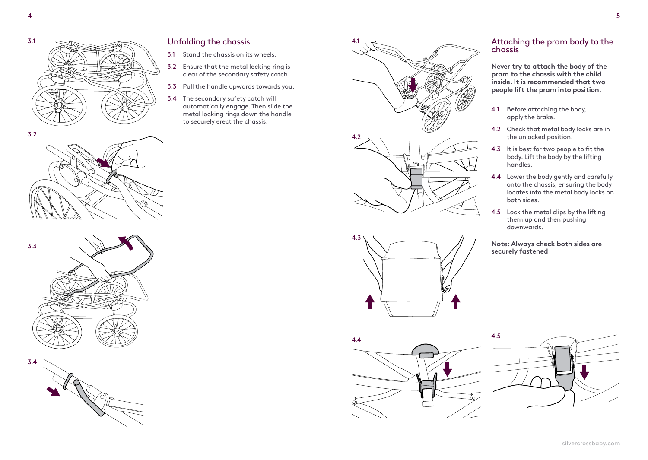3.2



# Unfolding the chassis

- 3.1 Stand the chassis on its wheels.
- 3.2 Ensure that the metal locking ring is clear of the secondary safety catch.
- 3.3 Pull the handle upwards towards you.
- 3.4 The secondary safety catch will automatically engage. Then slide the metal locking rings down the handle to securely erect the chassis.





# Attaching the pram body to the chassis

**Never try to attach the body of the pram to the chassis with the child inside. It is recommended that two people lift the pram into position.**

- 4.1 Before attaching the body, apply the brake.
- 4.2 Check that metal body locks are in the unlocked position.
- 4.3 It is best for two people to fit the body. Lift the body by the lifting handles.
- 4.4 Lower the body gently and carefully onto the chassis, ensuring the body locates into the metal body locks on both sides.
- 4.5 Lock the metal clips by the lifting them up and then pushing downwards.

**Note: Always check both sides are securely fastened**



 $4.4$   $4.5$ 

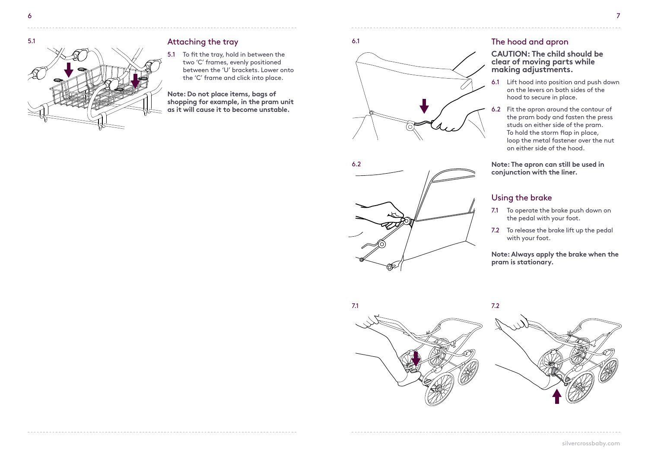

# Attaching the tray

5.1 To fit the tray, hold in between the two 'C' frames, evenly positioned between the 'U' brackets. Lower onto the 'C' frame and click into place.

**Note: Do not place items, bags of shopping for example, in the pram unit as it will cause it to become unstable.**





# 6.1 The hood and apron

#### **CAUTION: The child should be clear of moving parts while making adjustments.**

- 6.1 Lift hood into position and push down on the levers on both sides of the hood to secure in place.
- 6.2 Fit the apron around the contour of the pram body and fasten the press studs on either side of the pram. To hold the storm flap in place, loop the metal fastener over the nut on either side of the hood.

**Note: The apron can still be used in conjunction with the liner.**

# Using the brake

- 7.1 To operate the brake push down on the pedal with your foot.
- 7.2 To release the brake lift up the pedal with your foot.

**Note: Always apply the brake when the pram is stationary.**

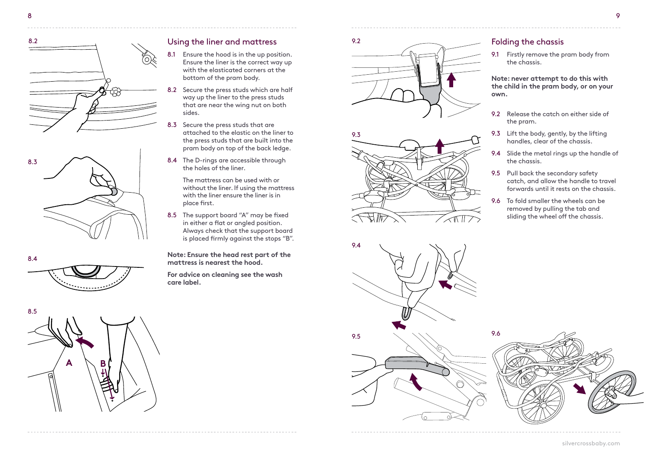







## Using the liner and mattress

- 8.1 Ensure the hood is in the up position. Ensure the liner is the correct way up with the elasticated corners at the bottom of the pram body.
- 8.2 Secure the press studs which are half way up the liner to the press studs that are near the wing nut on both sides.
- 8.3 Secure the press studs that are attached to the elastic on the liner to the press studs that are built into the pram body on top of the back ledge.
- 8.4 The D-rings are accessible through the holes of the liner.

The mattress can be used with or without the liner. If using the mattress with the liner ensure the liner is in place first.

8.5 The support board "A" may be fixed in either a flat or angled position. Always check that the support board is placed firmly against the stops "B".

**Note: Ensure the head rest part of the mattress is nearest the hood.**

**For advice on cleaning see the wash care label.**







# **own.**



## Folding the chassis

9.1 Firstly remove the pram body from the chassis.

**Note: never attempt to do this with the child in the pram body, or on your** 

- 9.2 Release the catch on either side of the pram.
- 9.3 Lift the body, gently, by the lifting handles, clear of the chassis.
- 9.4 Slide the metal rings up the handle of the chassis.
- 9.5 Pull back the secondary safety catch, and allow the handle to travel forwards until it rests on the chassis.
- 9.6 To fold smaller the wheels can be removed by pulling the tab and sliding the wheel off the chassis.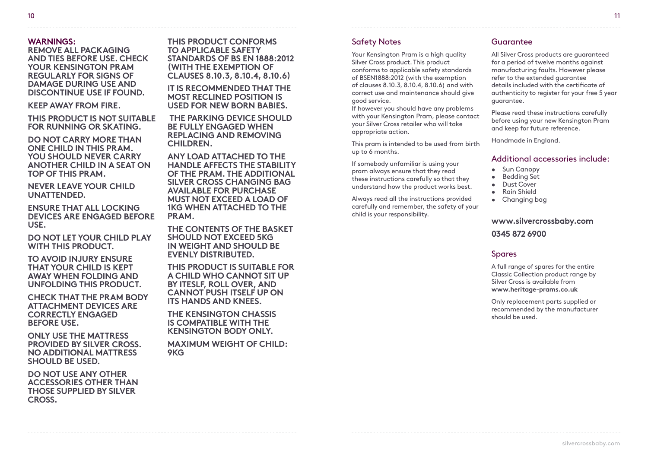#### **WARNINGS:**

**REMOVE ALL PACKAGING AND TIES BEFORE USE. CHECK YOUR KENSINGTON PRAM REGULARLY FOR SIGNS OF DAMAGE DURING USE AND DISCONTINUE USE IF FOUND.**

**KEEP AWAY FROM FIRE.**

**THIS PRODUCT IS NOT SUITABLE FOR RUNNING OR SKATING.**

**DO NOT CARRY MORE THAN ONE CHILD IN THIS PRAM. YOU SHOULD NEVER CARRY ANOTHER CHILD IN A SEAT ON TOP OF THIS PRAM.**

**NEVER LEAVE YOUR CHILD UNATTENDED.**

**ENSURE THAT ALL LOCKING DEVICES ARE ENGAGED BEFORE USE.**

**DO NOT LET YOUR CHILD PLAY WITH THIS PRODUCT.**

**TO AVOID INJURY ENSURE THAT YOUR CHILD IS KEPT AWAY WHEN FOLDING AND UNFOLDING THIS PRODUCT.**

**CHECK THAT THE PRAM BODY ATTACHMENT DEVICES ARE CORRECTLY ENGAGED BEFORE USE.**

**ONLY USE THE MATTRESS PROVIDED BY SILVER CROSS. NO ADDITIONAL MATTRESS SHOULD BE USED.**

**DO NOT USE ANY OTHER ACCESSORIES OTHER THAN THOSE SUPPLIED BY SILVER CROSS.** 

**THIS PRODUCT CONFORMS TO APPLICABLE SAFETY STANDARDS OF BS EN 1888:2012 (WITH THE EXEMPTION OF CLAUSES 8.10.3, 8.10.4, 8.10.6)**

**IT IS RECOMMENDED THAT THE MOST RECLINED POSITION IS USED FOR NEW BORN BABIES.**

 **THE PARKING DEVICE SHOULD BE FULLY ENGAGED WHEN REPLACING AND REMOVING CHILDREN.**

**ANY LOAD ATTACHED TO THE HANDLE AFFECTS THE STABILITY OF THE PRAM. THE ADDITIONAL SILVER CROSS CHANGING BAG AVAILABLE FOR PURCHASE MUST NOT EXCEED A LOAD OF 1KG WHEN ATTACHED TO THE PRAM.**

**THE CONTENTS OF THE BASKET SHOULD NOT EXCEED 5KG IN WEIGHT AND SHOULD BE EVENLY DISTRIBUTED.**

**THIS PRODUCT IS SUITABLE FOR A CHILD WHO CANNOT SIT UP BY ITESLF, ROLL OVER, AND CANNOT PUSH ITSELF UP ON ITS HANDS AND KNEES.**

**THE KENSINGTON CHASSIS IS COMPATIBLE WITH THE KENSINGTON BODY ONLY.**

**MAXIMUM WEIGHT OF CHILD: 9KG** 

# Safety Notes

Your Kensington Pram is a high quality Silver Cross product. This product conforms to applicable safety standards of BSEN1888:2012 (with the exemption of clauses 8.10.3, 8.10.4, 8.10.6) and with correct use and maintenance should give good service.

If however you should have any problems with your Kensington Pram, please contact your Silver Cross retailer who will take appropriate action.

This pram is intended to be used from birth up to 6 months.

If somebody unfamiliar is using your pram always ensure that they read these instructions carefully so that they understand how the product works best.

Always read all the instructions provided carefully and remember, the safety of your child is your responsibility.

#### Guarantee

All Silver Cross products are guaranteed for a period of twelve months against manufacturing faults. However please refer to the extended guarantee details included with the certificate of authenticity to register for your free 5 year guarantee.

Please read these instructions carefully before using your new Kensington Pram and keep for future reference.

Handmade in England.

#### Additional accessories include:

- Sun Canopy
- Bedding Set
- Dust Cover
- Rain Shield
- Changing bag

# **www.silvercrossbaby.com 0345 872 6900**

#### **Spares**

A full range of spares for the entire Classic Collection product range by Silver Cross is available from **www.heritage-prams.co.uk**

Only replacement parts supplied or recommended by the manufacturer should be used.